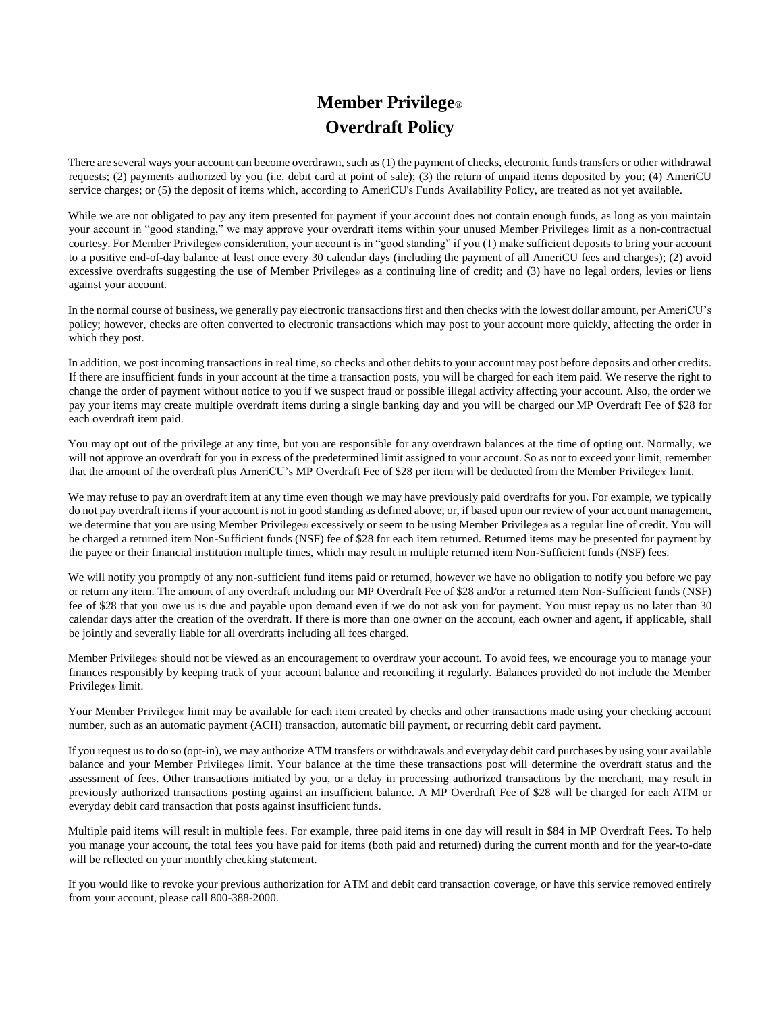## **Member Privilege® Overdraft Policy**

There are several ways your account can become overdrawn, such as (1) the payment of checks, electronic funds transfers or other withdrawal requests; (2) payments authorized by you (i.e. debit card at point of sale); (3) the return of unpaid items deposited by you; (4) AmeriCU service charges; or (5) the deposit of items which, according to AmeriCU's Funds Availability Policy, are treated as not yet available.

While we are not obligated to pay any item presented for payment if your account does not contain enough funds, as long as you maintain your account in "good standing," we may approve your overdraft items within your unused Member Privilege® limit as a non-contractual courtesy. For Member Privilege® consideration, your account is in "good standing" if you (1) make sufficient deposits to bring your account to a positive end-of-day balance at least once every 30 calendar days (including the payment of all AmeriCU fees and charges); (2) avoid excessive overdrafts suggesting the use of Member Privilege® as a continuing line of credit; and (3) have no legal orders, levies or liens against your account.

In the normal course of business, we generally pay electronic transactions first and then checks with the lowest dollar amount, per AmeriCU's policy; however, checks are often converted to electronic transactions which may post to your account more quickly, affecting the order in which they post.

In addition, we post incoming transactions in real time, so checks and other debits to your account may post before deposits and other credits. If there are insufficient funds in your account at the time a transaction posts, you will be charged for each item paid. We reserve the right to change the order of payment without notice to you if we suspect fraud or possible illegal activity affecting your account. Also, the order we pay your items may create multiple overdraft items during a single banking day and you will be charged our MP Overdraft Fee of \$28 for each overdraft item paid.

You may opt out of the privilege at any time, but you are responsible for any overdrawn balances at the time of opting out. Normally, we will not approve an overdraft for you in excess of the predetermined limit assigned to your account. So as not to exceed your limit, remember that the amount of the overdraft plus AmeriCU's MP Overdraft Fee of \$28 per item will be deducted from the Member Privilege® limit.

We may refuse to pay an overdraft item at any time even though we may have previously paid overdrafts for you. For example, we typically do not pay overdraft items if your account is not in good standing as defined above, or, if based upon our review of your account management, we determine that you are using Member Privilege® excessively or seem to be using Member Privilege® as a regular line of credit. You will be charged a returned item Non-Sufficient funds (NSF) fee of \$28 for each item returned. Returned items may be presented for payment by the payee or their financial institution multiple times, which may result in multiple returned item Non-Sufficient funds (NSF) fees.

We will notify you promptly of any non-sufficient fund items paid or returned, however we have no obligation to notify you before we pay or return any item. The amount of any overdraft including our MP Overdraft Fee of \$28 and/or a returned item Non-Sufficient funds (NSF) fee of \$28 that you owe us is due and payable upon demand even if we do not ask you for payment. You must repay us no later than 30 calendar days after the creation of the overdraft. If there is more than one owner on the account, each owner and agent, if applicable, shall be jointly and severally liable for all overdrafts including all fees charged.

Member Privilege® should not be viewed as an encouragement to overdraw your account. To avoid fees, we encourage you to manage your finances responsibly by keeping track of your account balance and reconciling it regularly. Balances provided do not include the Member Privilege® limit.

Your Member Privilege® limit may be available for each item created by checks and other transactions made using your checking account number, such as an automatic payment (ACH) transaction, automatic bill payment, or recurring debit card payment.

If you request us to do so (opt-in), we may authorize ATM transfers or withdrawals and everyday debit card purchases by using your available balance and your Member Privilege® limit. Your balance at the time these transactions post will determine the overdraft status and the assessment of fees. Other transactions initiated by you, or a delay in processing authorized transactions by the merchant, may result in previously authorized transactions posting against an insufficient balance. A MP Overdraft Fee of \$28 will be charged for each ATM or everyday debit card transaction that posts against insufficient funds.

Multiple paid items will result in multiple fees. For example, three paid items in one day will result in \$84 in MP Overdraft Fees. To help you manage your account, the total fees you have paid for items (both paid and returned) during the current month and for the year-to-date will be reflected on your monthly checking statement.

If you would like to revoke your previous authorization for ATM and debit card transaction coverage, or have this service removed entirely from your account, please call 800-388-2000.